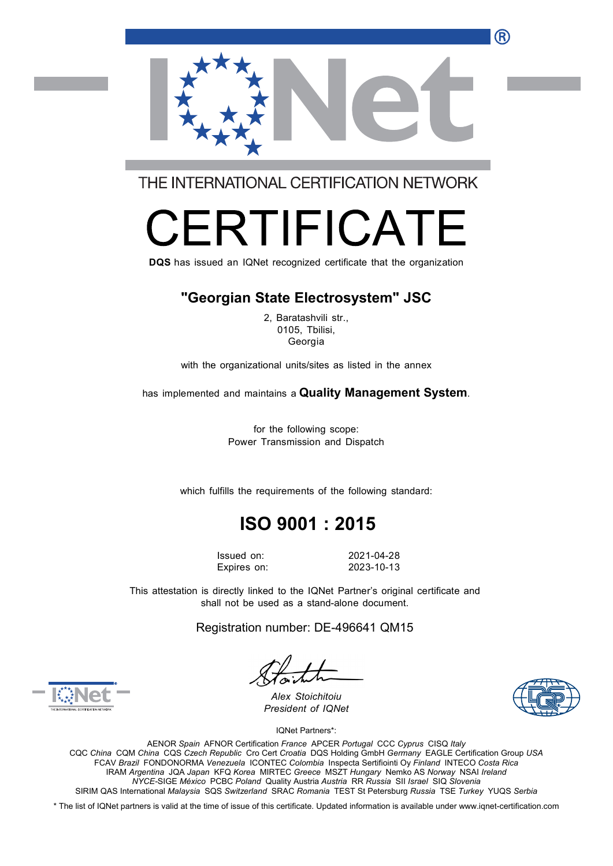R



THE INTERNATIONAL CERTIFICATION NETWORK

# RTIFICA

**DQS** has issued an IQNet recognized certificate that the organization

### **"Georgian State Electrosystem" JSC**

2, Baratashvili str., 0105, Tbilisi, **Georgia** 

with the organizational units/sites as listed in the annex

has implemented and maintains a **Quality Management System**.

for the following scope: Power Transmission and Dispatch

which fulfills the requirements of the following standard:

## **ISO 9001 : 2015**

Expires on: 2023-10-13

Issued on: 2021-04-28

This attestation is directly linked to the IQNet Partner's original certificate and shall not be used as a stand-alone document.

Registration number: DE-496641 QM15



*Alex Stoichitoiu President of IQNet*

IQNet Partners\*:

AENOR *Spain* AFNOR Certification *France* APCER *Portugal* CCC *Cyprus* CISQ *Italy*  CQC *China* CQM *China* CQS *Czech Republic* Cro Cert *Croatia* DQS Holding GmbH *Germany* EAGLE Certification Group *USA*  FCAV *Brazil* FONDONORMA *Venezuela* ICONTEC *Colombia* Inspecta Sertifiointi Oy *Finland* INTECO *Costa Rica*  IRAM *Argentina* JQA *Japan* KFQ *Korea* MIRTEC *Greece* MSZT *Hungary* Nemko AS *Norway* NSAI *Ireland NYCE-*SIGE *México* PCBC *Poland* Quality Austria *Austria* RR *Russia* SII *Israel* SIQ *Slovenia*  SIRIM QAS International *Malaysia* SQS *Switzerland* SRAC *Romania* TEST St Petersburg *Russia* TSE *Turkey* YUQS *Serbia* 

\* The list of IQNet partners is valid at the time of issue of this certificate. Updated information is available under www.iqnet-certification.com